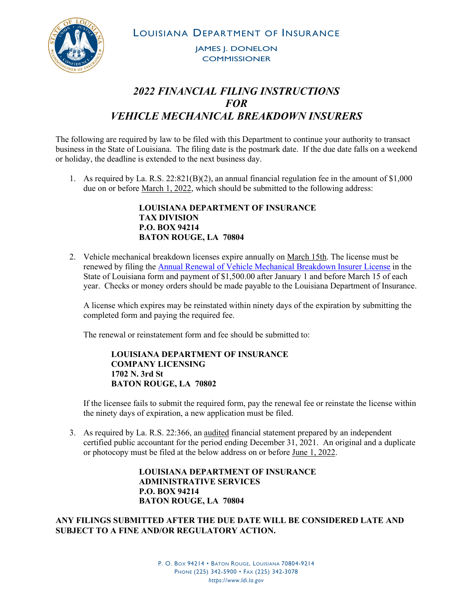LOUISIANA DEPARTMENT OF INSURANCE



JAMES J. DONELON **COMMISSIONER** 

## *2022 FINANCIAL FILING INSTRUCTIONS FOR VEHICLE MECHANICAL BREAKDOWN INSURERS*

The following are required by law to be filed with this Department to continue your authority to transact business in the State of Louisiana. The filing date is the postmark date. If the due date falls on a weekend or holiday, the deadline is extended to the next business day.

1. As required by La. R.S. 22:821(B)(2), an annual financial regulation fee in the amount of \$1,000 due on or before March 1, 2022, which should be submitted to the following address:

> **LOUISIANA DEPARTMENT OF INSURANCE TAX DIVISION P.O. BOX 94214 BATON ROUGE, LA 70804**

2. Vehicle mechanical breakdown licenses expire annually on March 15th. The license must be renewed by filing the [Annual Renewal of Vehicle Mechanical Breakdown Insurer License](http://www.ldi.la.gov/docs/default-source/documents/licensing/companies/vmbi-renewal.pdf?sfvrsn=e7634852_6) in the State of Louisiana form and payment of \$1,500.00 after January 1 and before March 15 of each year. Checks or money orders should be made payable to the Louisiana Department of Insurance.

A license which expires may be reinstated within ninety days of the expiration by submitting the completed form and paying the required fee.

The renewal or reinstatement form and fee should be submitted to:

**LOUISIANA DEPARTMENT OF INSURANCE COMPANY LICENSING 1702 N. 3rd St BATON ROUGE, LA 70802**

If the licensee fails to submit the required form, pay the renewal fee or reinstate the license within the ninety days of expiration, a new application must be filed.

3. As required by La. R.S. 22:366, an audited financial statement prepared by an independent certified public accountant for the period ending December 31, 2021. An original and a duplicate or photocopy must be filed at the below address on or before June 1, 2022.

> **LOUISIANA DEPARTMENT OF INSURANCE ADMINISTRATIVE SERVICES P.O. BOX 94214 BATON ROUGE, LA 70804**

**ANY FILINGS SUBMITTED AFTER THE DUE DATE WILL BE CONSIDERED LATE AND SUBJECT TO A FINE AND/OR REGULATORY ACTION.**